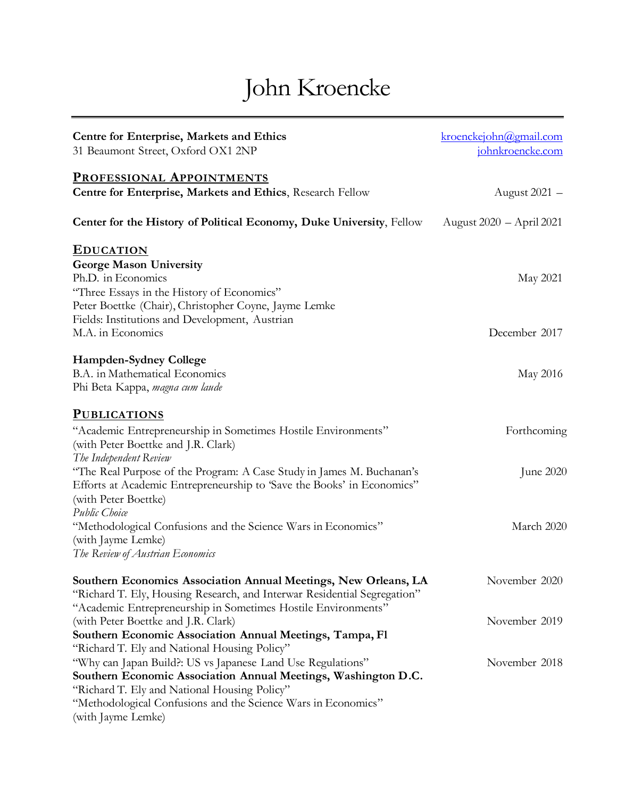# John Kroencke

| <b>Centre for Enterprise, Markets and Ethics</b>                                                                                                                                         | kroenckejohn@gmail.com   |
|------------------------------------------------------------------------------------------------------------------------------------------------------------------------------------------|--------------------------|
| 31 Beaumont Street, Oxford OX1 2NP                                                                                                                                                       | johnkroencke.com         |
| <b>PROFESSIONAL APPOINTMENTS</b>                                                                                                                                                         |                          |
| Centre for Enterprise, Markets and Ethics, Research Fellow                                                                                                                               | August 2021 -            |
| Center for the History of Political Economy, Duke University, Fellow                                                                                                                     | August 2020 – April 2021 |
| <b>EDUCATION</b>                                                                                                                                                                         |                          |
| <b>George Mason University</b><br>Ph.D. in Economics                                                                                                                                     | May 2021                 |
| "Three Essays in the History of Economics"<br>Peter Boettke (Chair), Christopher Coyne, Jayme Lemke                                                                                      |                          |
| Fields: Institutions and Development, Austrian<br>M.A. in Economics                                                                                                                      | December 2017            |
| <b>Hampden-Sydney College</b>                                                                                                                                                            |                          |
| B.A. in Mathematical Economics<br>Phi Beta Kappa, magna cum laude                                                                                                                        | May 2016                 |
| <b>PUBLICATIONS</b>                                                                                                                                                                      |                          |
| "Academic Entrepreneurship in Sometimes Hostile Environments"<br>(with Peter Boettke and J.R. Clark)<br>The Independent Review                                                           | Forthcoming              |
| "The Real Purpose of the Program: A Case Study in James M. Buchanan's<br>Efforts at Academic Entrepreneurship to 'Save the Books' in Economics"<br>(with Peter Boettke)<br>Public Choice | June 2020                |
| "Methodological Confusions and the Science Wars in Economics"<br>(with Jayme Lemke)<br>The Review of Austrian Economics                                                                  | March 2020               |
| Southern Economics Association Annual Meetings, New Orleans, LA                                                                                                                          | November 2020            |
| "Richard T. Ely, Housing Research, and Interwar Residential Segregation"<br>"Academic Entrepreneurship in Sometimes Hostile Environments"                                                |                          |
| (with Peter Boettke and J.R. Clark)                                                                                                                                                      | November 2019            |
| Southern Economic Association Annual Meetings, Tampa, Fl<br>"Richard T. Ely and National Housing Policy"                                                                                 |                          |
| "Why can Japan Build?: US vs Japanese Land Use Regulations"<br>Southern Economic Association Annual Meetings, Washington D.C.<br>"Richard T. Ely and National Housing Policy"            | November 2018            |
| "Methodological Confusions and the Science Wars in Economics"<br>(with Jayme Lemke)                                                                                                      |                          |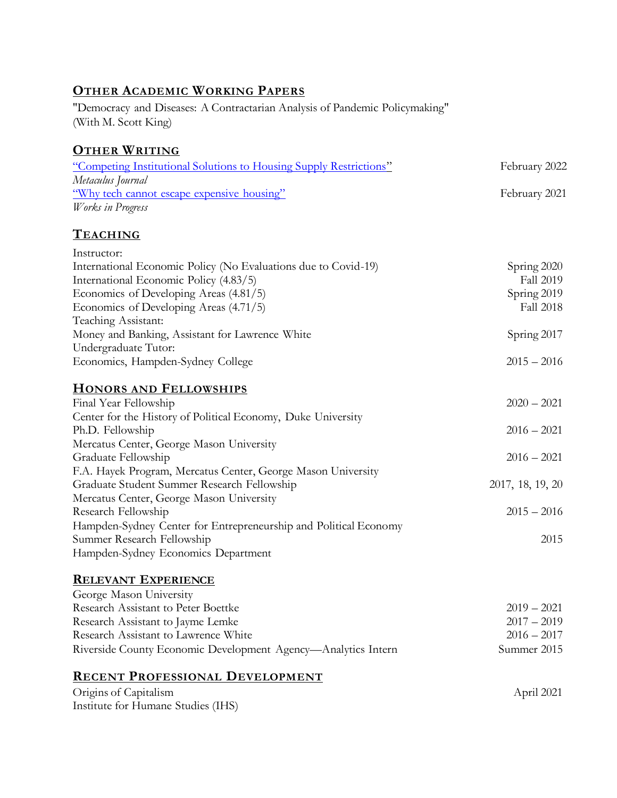### **OTHER ACADEMIC WORKING PAPERS**

"Democracy and Diseases: A Contractarian Analysis of Pandemic Policymaking" (With M. Scott King)

### **OTHER WRITING**

| "Competing Institutional Solutions to Housing Supply Restrictions" | February 2022 |
|--------------------------------------------------------------------|---------------|
| Metaculus Journal                                                  |               |
| "Why tech cannot escape expensive housing"                         | February 2021 |
| Works in Progress                                                  |               |
| <b>TEACHING</b>                                                    |               |
| Instructor:                                                        |               |
| International Economic Policy (No Evaluations due to Covid-19)     | Spring 2020   |
| International Economic Policy (4.83/5)                             | Fall 2019     |
| Economics of Developing Areas (4.81/5)                             | Spring 2019   |
| Economics of Developing Areas (4.71/5)                             | Fall 2018     |
| Teaching Assistant:                                                |               |
| Money and Banking, Assistant for Lawrence White                    | Spring 2017   |
| Undergraduate Tutor:                                               |               |
| Economics, Hampden-Sydney College                                  | $2015 - 2016$ |
| <b>HONORS AND FELLOWSHIPS</b>                                      |               |
| Final Year Fellowship                                              | $2020 - 2021$ |
| Center for the History of Political Economy, Duke University       |               |
| Ph.D. Fellowship                                                   | $2016 - 2021$ |
| Mercatus Center, George Mason University                           |               |
| Graduate Fellowship                                                | $2016 - 2021$ |
| F.A. Hayek Program, Mercatus Center, George Mason University       |               |

## **RELEVANT EXPERIENCE**

Hampden-Sydney Economics Department

Summer Research Fellowship

Research Fellowship

Graduate Student Summer Research Fellowship Mercatus Center, George Mason University

Hampden-Sydney Center for Entrepreneurship and Political Economy

| George Mason University                                       |               |
|---------------------------------------------------------------|---------------|
| Research Assistant to Peter Boettke                           | $2019 - 2021$ |
| Research Assistant to Jayme Lemke                             | $2017 - 2019$ |
| Research Assistant to Lawrence White                          | $2016 - 2017$ |
| Riverside County Economic Development Agency—Analytics Intern | Summer 2015   |

2017, 18, 19, 20

 $2015 - 2016$ 

2015

### **RECENT PROFESSIONAL DEVELOPMENT**

| Origins of Capitalism              | April 2021 |
|------------------------------------|------------|
| Institute for Humane Studies (IHS) |            |